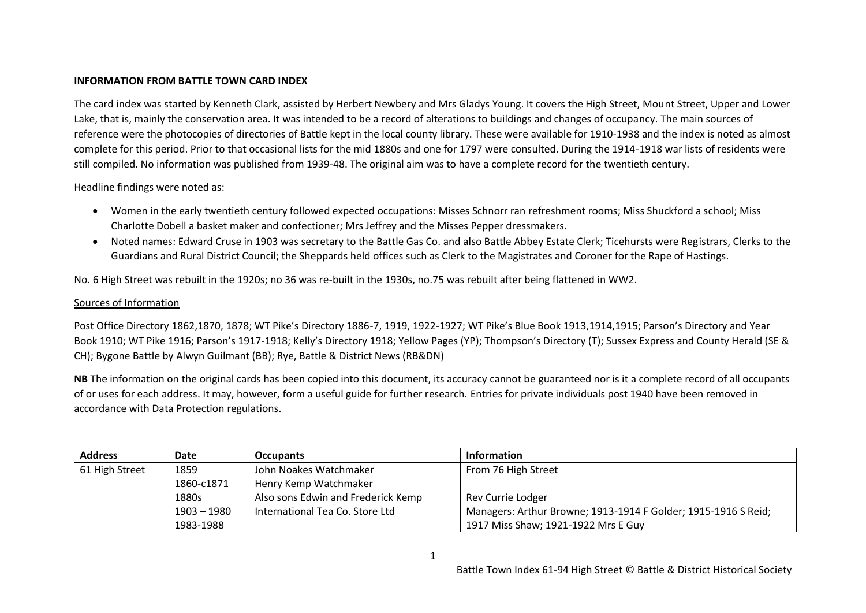## **INFORMATION FROM BATTLE TOWN CARD INDEX**

The card index was started by Kenneth Clark, assisted by Herbert Newbery and Mrs Gladys Young. It covers the High Street, Mount Street, Upper and Lower Lake, that is, mainly the conservation area. It was intended to be a record of alterations to buildings and changes of occupancy. The main sources of reference were the photocopies of directories of Battle kept in the local county library. These were available for 1910-1938 and the index is noted as almost complete for this period. Prior to that occasional lists for the mid 1880s and one for 1797 were consulted. During the 1914-1918 war lists of residents were still compiled. No information was published from 1939-48. The original aim was to have a complete record for the twentieth century.

Headline findings were noted as:

- Women in the early twentieth century followed expected occupations: Misses Schnorr ran refreshment rooms; Miss Shuckford a school; Miss Charlotte Dobell a basket maker and confectioner; Mrs Jeffrey and the Misses Pepper dressmakers.
- Noted names: Edward Cruse in 1903 was secretary to the Battle Gas Co. and also Battle Abbey Estate Clerk; Ticehursts were Registrars, Clerks to the Guardians and Rural District Council; the Sheppards held offices such as Clerk to the Magistrates and Coroner for the Rape of Hastings.

No. 6 High Street was rebuilt in the 1920s; no 36 was re-built in the 1930s, no.75 was rebuilt after being flattened in WW2.

## Sources of Information

Post Office Directory 1862,1870, 1878; WT Pike's Directory 1886-7, 1919, 1922-1927; WT Pike's Blue Book 1913,1914,1915; Parson's Directory and Year Book 1910; WT Pike 1916; Parson's 1917-1918; Kelly's Directory 1918; Yellow Pages (YP); Thompson's Directory (T); Sussex Express and County Herald (SE & CH); Bygone Battle by Alwyn Guilmant (BB); Rye, Battle & District News (RB&DN)

**NB** The information on the original cards has been copied into this document, its accuracy cannot be guaranteed nor is it a complete record of all occupants of or uses for each address. It may, however, form a useful guide for further research. Entries for private individuals post 1940 have been removed in accordance with Data Protection regulations.

| <b>Address</b> | <b>Date</b>   | <b>Occupants</b>                   | <b>Information</b>                                             |
|----------------|---------------|------------------------------------|----------------------------------------------------------------|
| 61 High Street | 1859          | John Noakes Watchmaker             | From 76 High Street                                            |
|                | 1860-c1871    | Henry Kemp Watchmaker              |                                                                |
|                | 1880s         | Also sons Edwin and Frederick Kemp | Rev Currie Lodger                                              |
|                | $1903 - 1980$ | International Tea Co. Store Ltd    | Managers: Arthur Browne; 1913-1914 F Golder; 1915-1916 S Reid; |
|                | 1983-1988     |                                    | 1917 Miss Shaw; 1921-1922 Mrs E Guy                            |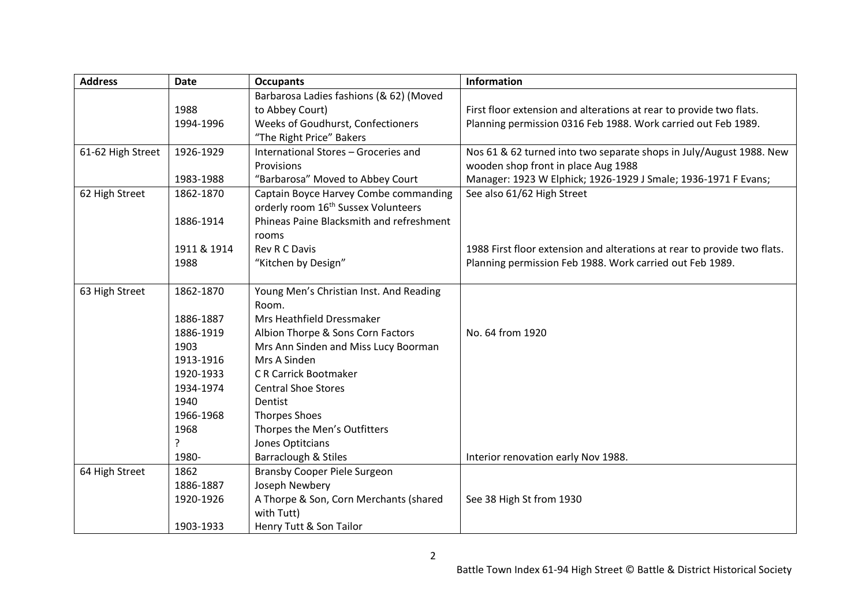| <b>Address</b>    | <b>Date</b> | <b>Occupants</b>                                | <b>Information</b>                                                       |
|-------------------|-------------|-------------------------------------------------|--------------------------------------------------------------------------|
|                   |             | Barbarosa Ladies fashions (& 62) (Moved         |                                                                          |
|                   | 1988        | to Abbey Court)                                 | First floor extension and alterations at rear to provide two flats.      |
|                   | 1994-1996   | Weeks of Goudhurst, Confectioners               | Planning permission 0316 Feb 1988. Work carried out Feb 1989.            |
|                   |             | "The Right Price" Bakers                        |                                                                          |
| 61-62 High Street | 1926-1929   | International Stores - Groceries and            | Nos 61 & 62 turned into two separate shops in July/August 1988. New      |
|                   |             | Provisions                                      | wooden shop front in place Aug 1988                                      |
|                   | 1983-1988   | "Barbarosa" Moved to Abbey Court                | Manager: 1923 W Elphick; 1926-1929 J Smale; 1936-1971 F Evans;           |
| 62 High Street    | 1862-1870   | Captain Boyce Harvey Combe commanding           | See also 61/62 High Street                                               |
|                   |             | orderly room 16 <sup>th</sup> Sussex Volunteers |                                                                          |
|                   | 1886-1914   | Phineas Paine Blacksmith and refreshment        |                                                                          |
|                   |             | rooms                                           |                                                                          |
|                   | 1911 & 1914 | Rev R C Davis                                   | 1988 First floor extension and alterations at rear to provide two flats. |
|                   | 1988        | "Kitchen by Design"                             | Planning permission Feb 1988. Work carried out Feb 1989.                 |
|                   |             |                                                 |                                                                          |
| 63 High Street    | 1862-1870   | Young Men's Christian Inst. And Reading         |                                                                          |
|                   |             | Room.                                           |                                                                          |
|                   | 1886-1887   | Mrs Heathfield Dressmaker                       |                                                                          |
|                   | 1886-1919   | Albion Thorpe & Sons Corn Factors               | No. 64 from 1920                                                         |
|                   | 1903        | Mrs Ann Sinden and Miss Lucy Boorman            |                                                                          |
|                   | 1913-1916   | Mrs A Sinden                                    |                                                                          |
|                   | 1920-1933   | <b>CR Carrick Bootmaker</b>                     |                                                                          |
|                   | 1934-1974   | <b>Central Shoe Stores</b>                      |                                                                          |
|                   | 1940        | Dentist                                         |                                                                          |
|                   | 1966-1968   | <b>Thorpes Shoes</b>                            |                                                                          |
|                   | 1968        | Thorpes the Men's Outfitters                    |                                                                          |
|                   | 5           | Jones Optitcians                                |                                                                          |
|                   | 1980-       | Barraclough & Stiles                            | Interior renovation early Nov 1988.                                      |
| 64 High Street    | 1862        | <b>Bransby Cooper Piele Surgeon</b>             |                                                                          |
|                   | 1886-1887   | Joseph Newbery                                  |                                                                          |
|                   | 1920-1926   | A Thorpe & Son, Corn Merchants (shared          | See 38 High St from 1930                                                 |
|                   |             | with Tutt)                                      |                                                                          |
|                   | 1903-1933   | Henry Tutt & Son Tailor                         |                                                                          |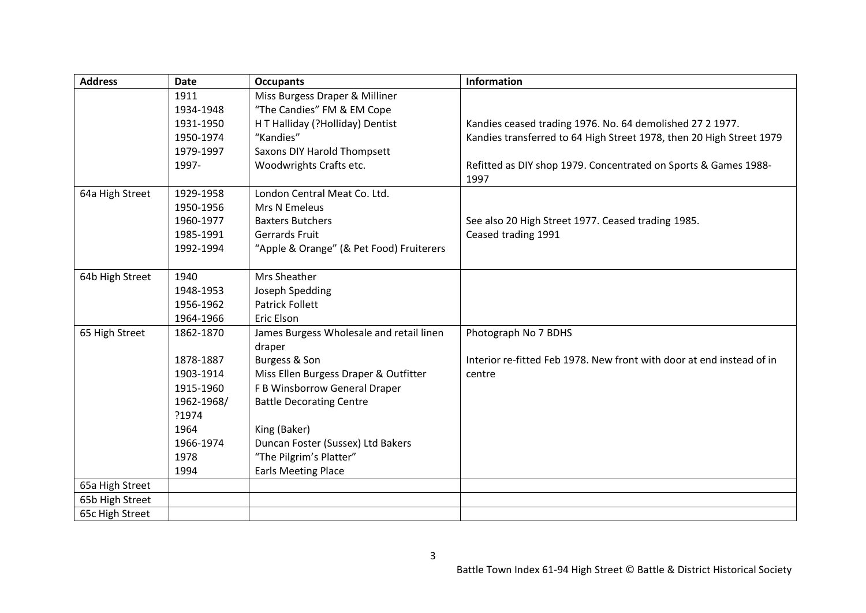| <b>Address</b>  | <b>Date</b> | <b>Occupants</b>                         | <b>Information</b>                                                      |
|-----------------|-------------|------------------------------------------|-------------------------------------------------------------------------|
|                 | 1911        | Miss Burgess Draper & Milliner           |                                                                         |
|                 | 1934-1948   | "The Candies" FM & EM Cope               |                                                                         |
|                 | 1931-1950   | H T Halliday (?Holliday) Dentist         | Kandies ceased trading 1976. No. 64 demolished 27 2 1977.               |
|                 | 1950-1974   | "Kandies"                                | Kandies transferred to 64 High Street 1978, then 20 High Street 1979    |
|                 | 1979-1997   | Saxons DIY Harold Thompsett              |                                                                         |
|                 | 1997-       | Woodwrights Crafts etc.                  | Refitted as DIY shop 1979. Concentrated on Sports & Games 1988-<br>1997 |
| 64a High Street | 1929-1958   | London Central Meat Co. Ltd.             |                                                                         |
|                 | 1950-1956   | Mrs N Emeleus                            |                                                                         |
|                 | 1960-1977   | <b>Baxters Butchers</b>                  | See also 20 High Street 1977. Ceased trading 1985.                      |
|                 | 1985-1991   | Gerrards Fruit                           | Ceased trading 1991                                                     |
|                 | 1992-1994   | "Apple & Orange" (& Pet Food) Fruiterers |                                                                         |
| 64b High Street | 1940        | Mrs Sheather                             |                                                                         |
|                 | 1948-1953   | Joseph Spedding                          |                                                                         |
|                 | 1956-1962   | <b>Patrick Follett</b>                   |                                                                         |
|                 | 1964-1966   | Eric Elson                               |                                                                         |
| 65 High Street  | 1862-1870   | James Burgess Wholesale and retail linen | Photograph No 7 BDHS                                                    |
|                 |             | draper                                   |                                                                         |
|                 | 1878-1887   | Burgess & Son                            | Interior re-fitted Feb 1978. New front with door at end instead of in   |
|                 | 1903-1914   | Miss Ellen Burgess Draper & Outfitter    | centre                                                                  |
|                 | 1915-1960   | F B Winsborrow General Draper            |                                                                         |
|                 | 1962-1968/  | <b>Battle Decorating Centre</b>          |                                                                         |
|                 | ?1974       |                                          |                                                                         |
|                 | 1964        | King (Baker)                             |                                                                         |
|                 | 1966-1974   | Duncan Foster (Sussex) Ltd Bakers        |                                                                         |
|                 | 1978        | "The Pilgrim's Platter"                  |                                                                         |
|                 | 1994        | <b>Earls Meeting Place</b>               |                                                                         |
| 65a High Street |             |                                          |                                                                         |
| 65b High Street |             |                                          |                                                                         |
| 65c High Street |             |                                          |                                                                         |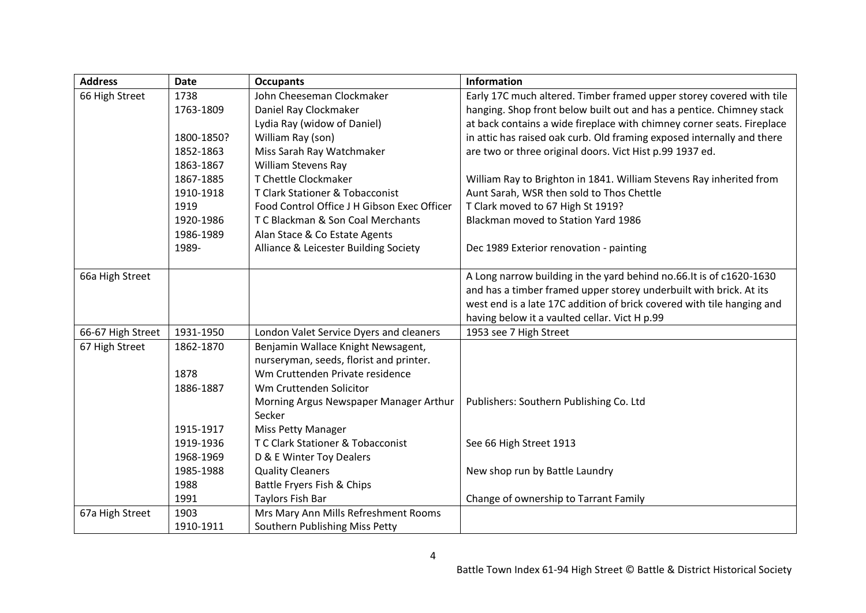| <b>Address</b>    | <b>Date</b> | <b>Occupants</b>                            | <b>Information</b>                                                     |
|-------------------|-------------|---------------------------------------------|------------------------------------------------------------------------|
| 66 High Street    | 1738        | John Cheeseman Clockmaker                   | Early 17C much altered. Timber framed upper storey covered with tile   |
|                   | 1763-1809   | Daniel Ray Clockmaker                       | hanging. Shop front below built out and has a pentice. Chimney stack   |
|                   |             | Lydia Ray (widow of Daniel)                 | at back contains a wide fireplace with chimney corner seats. Fireplace |
|                   | 1800-1850?  | William Ray (son)                           | in attic has raised oak curb. Old framing exposed internally and there |
|                   | 1852-1863   | Miss Sarah Ray Watchmaker                   | are two or three original doors. Vict Hist p.99 1937 ed.               |
|                   | 1863-1867   | William Stevens Ray                         |                                                                        |
|                   | 1867-1885   | T Chettle Clockmaker                        | William Ray to Brighton in 1841. William Stevens Ray inherited from    |
|                   | 1910-1918   | T Clark Stationer & Tobacconist             | Aunt Sarah, WSR then sold to Thos Chettle                              |
|                   | 1919        | Food Control Office J H Gibson Exec Officer | T Clark moved to 67 High St 1919?                                      |
|                   | 1920-1986   | T C Blackman & Son Coal Merchants           | Blackman moved to Station Yard 1986                                    |
|                   | 1986-1989   | Alan Stace & Co Estate Agents               |                                                                        |
|                   | 1989-       | Alliance & Leicester Building Society       | Dec 1989 Exterior renovation - painting                                |
|                   |             |                                             |                                                                        |
| 66a High Street   |             |                                             | A Long narrow building in the yard behind no.66. It is of c1620-1630   |
|                   |             |                                             | and has a timber framed upper storey underbuilt with brick. At its     |
|                   |             |                                             | west end is a late 17C addition of brick covered with tile hanging and |
|                   |             |                                             | having below it a vaulted cellar. Vict H p.99                          |
| 66-67 High Street | 1931-1950   | London Valet Service Dyers and cleaners     | 1953 see 7 High Street                                                 |
| 67 High Street    | 1862-1870   | Benjamin Wallace Knight Newsagent,          |                                                                        |
|                   |             | nurseryman, seeds, florist and printer.     |                                                                        |
|                   | 1878        | Wm Cruttenden Private residence             |                                                                        |
|                   | 1886-1887   | Wm Cruttenden Solicitor                     |                                                                        |
|                   |             | Morning Argus Newspaper Manager Arthur      | Publishers: Southern Publishing Co. Ltd                                |
|                   |             | Secker                                      |                                                                        |
|                   | 1915-1917   | <b>Miss Petty Manager</b>                   |                                                                        |
|                   | 1919-1936   | T C Clark Stationer & Tobacconist           | See 66 High Street 1913                                                |
|                   | 1968-1969   | D & E Winter Toy Dealers                    |                                                                        |
|                   | 1985-1988   | <b>Quality Cleaners</b>                     | New shop run by Battle Laundry                                         |
|                   | 1988        | Battle Fryers Fish & Chips                  |                                                                        |
|                   | 1991        | Taylors Fish Bar                            | Change of ownership to Tarrant Family                                  |
| 67a High Street   | 1903        | Mrs Mary Ann Mills Refreshment Rooms        |                                                                        |
|                   | 1910-1911   | Southern Publishing Miss Petty              |                                                                        |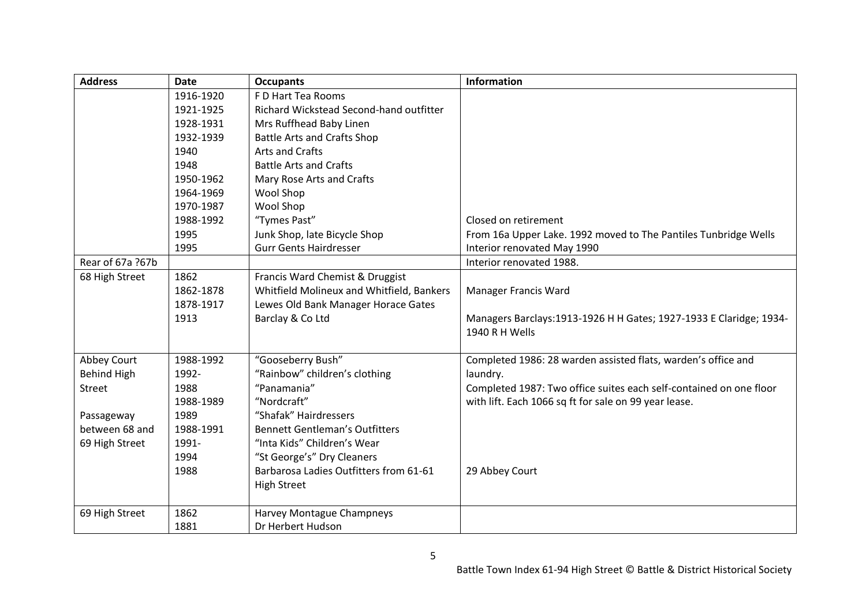| <b>Address</b>     | <b>Date</b> | <b>Occupants</b>                          | <b>Information</b>                                                  |
|--------------------|-------------|-------------------------------------------|---------------------------------------------------------------------|
|                    | 1916-1920   | F D Hart Tea Rooms                        |                                                                     |
|                    | 1921-1925   | Richard Wickstead Second-hand outfitter   |                                                                     |
|                    | 1928-1931   | Mrs Ruffhead Baby Linen                   |                                                                     |
|                    | 1932-1939   | <b>Battle Arts and Crafts Shop</b>        |                                                                     |
|                    | 1940        | <b>Arts and Crafts</b>                    |                                                                     |
|                    | 1948        | <b>Battle Arts and Crafts</b>             |                                                                     |
|                    | 1950-1962   | Mary Rose Arts and Crafts                 |                                                                     |
|                    | 1964-1969   | Wool Shop                                 |                                                                     |
|                    | 1970-1987   | Wool Shop                                 |                                                                     |
|                    | 1988-1992   | "Tymes Past"                              | Closed on retirement                                                |
|                    | 1995        | Junk Shop, late Bicycle Shop              | From 16a Upper Lake. 1992 moved to The Pantiles Tunbridge Wells     |
|                    | 1995        | <b>Gurr Gents Hairdresser</b>             | Interior renovated May 1990                                         |
| Rear of 67a ?67b   |             |                                           | Interior renovated 1988.                                            |
| 68 High Street     | 1862        | Francis Ward Chemist & Druggist           |                                                                     |
|                    | 1862-1878   | Whitfield Molineux and Whitfield, Bankers | Manager Francis Ward                                                |
|                    | 1878-1917   | Lewes Old Bank Manager Horace Gates       |                                                                     |
|                    | 1913        | Barclay & Co Ltd                          | Managers Barclays: 1913-1926 H H Gates; 1927-1933 E Claridge; 1934- |
|                    |             |                                           | 1940 R H Wells                                                      |
|                    |             |                                           |                                                                     |
| Abbey Court        | 1988-1992   | "Gooseberry Bush"                         | Completed 1986: 28 warden assisted flats, warden's office and       |
| <b>Behind High</b> | 1992-       | "Rainbow" children's clothing             | laundry.                                                            |
| <b>Street</b>      | 1988        | "Panamania"                               | Completed 1987: Two office suites each self-contained on one floor  |
|                    | 1988-1989   | "Nordcraft"                               | with lift. Each 1066 sq ft for sale on 99 year lease.               |
| Passageway         | 1989        | "Shafak" Hairdressers                     |                                                                     |
| between 68 and     | 1988-1991   | <b>Bennett Gentleman's Outfitters</b>     |                                                                     |
| 69 High Street     | 1991-       | "Inta Kids" Children's Wear               |                                                                     |
|                    | 1994        | "St George's" Dry Cleaners                |                                                                     |
|                    | 1988        | Barbarosa Ladies Outfitters from 61-61    | 29 Abbey Court                                                      |
|                    |             | <b>High Street</b>                        |                                                                     |
|                    |             |                                           |                                                                     |
| 69 High Street     | 1862        | Harvey Montague Champneys                 |                                                                     |
|                    | 1881        | Dr Herbert Hudson                         |                                                                     |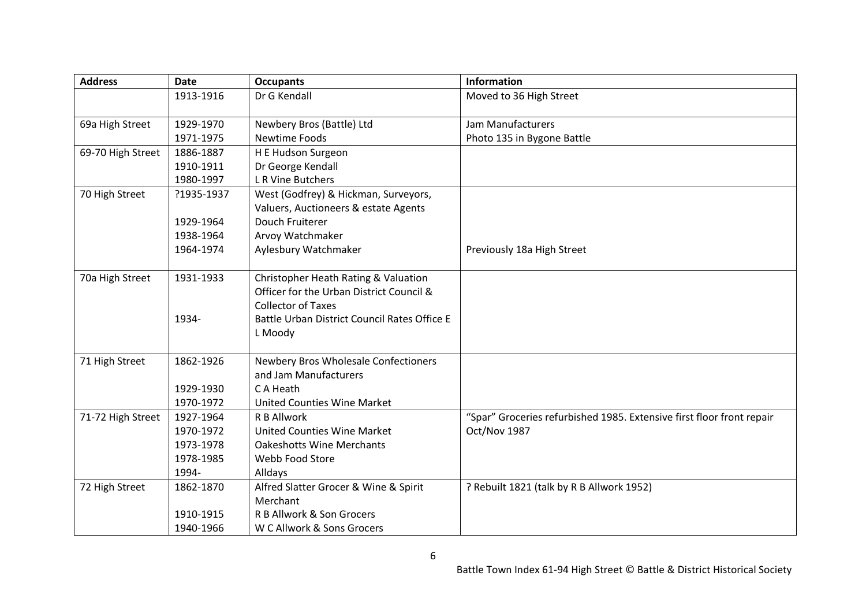| <b>Address</b>    | <b>Date</b> | <b>Occupants</b>                             | <b>Information</b>                                                    |
|-------------------|-------------|----------------------------------------------|-----------------------------------------------------------------------|
|                   | 1913-1916   | Dr G Kendall                                 | Moved to 36 High Street                                               |
|                   |             |                                              |                                                                       |
| 69a High Street   | 1929-1970   | Newbery Bros (Battle) Ltd                    | Jam Manufacturers                                                     |
|                   | 1971-1975   | Newtime Foods                                | Photo 135 in Bygone Battle                                            |
| 69-70 High Street | 1886-1887   | H E Hudson Surgeon                           |                                                                       |
|                   | 1910-1911   | Dr George Kendall                            |                                                                       |
|                   | 1980-1997   | L R Vine Butchers                            |                                                                       |
| 70 High Street    | ?1935-1937  | West (Godfrey) & Hickman, Surveyors,         |                                                                       |
|                   |             | Valuers, Auctioneers & estate Agents         |                                                                       |
|                   | 1929-1964   | Douch Fruiterer                              |                                                                       |
|                   | 1938-1964   | Arvoy Watchmaker                             |                                                                       |
|                   | 1964-1974   | Aylesbury Watchmaker                         | Previously 18a High Street                                            |
|                   |             |                                              |                                                                       |
| 70a High Street   | 1931-1933   | Christopher Heath Rating & Valuation         |                                                                       |
|                   |             | Officer for the Urban District Council &     |                                                                       |
|                   |             | <b>Collector of Taxes</b>                    |                                                                       |
|                   | 1934-       | Battle Urban District Council Rates Office E |                                                                       |
|                   |             | L Moody                                      |                                                                       |
|                   |             |                                              |                                                                       |
| 71 High Street    | 1862-1926   | Newbery Bros Wholesale Confectioners         |                                                                       |
|                   |             | and Jam Manufacturers                        |                                                                       |
|                   | 1929-1930   | C A Heath                                    |                                                                       |
|                   | 1970-1972   | <b>United Counties Wine Market</b>           |                                                                       |
| 71-72 High Street | 1927-1964   | R B Allwork                                  | "Spar" Groceries refurbished 1985. Extensive first floor front repair |
|                   | 1970-1972   | <b>United Counties Wine Market</b>           | Oct/Nov 1987                                                          |
|                   | 1973-1978   | <b>Oakeshotts Wine Merchants</b>             |                                                                       |
|                   | 1978-1985   | Webb Food Store                              |                                                                       |
|                   | 1994-       | Alldays                                      |                                                                       |
| 72 High Street    | 1862-1870   | Alfred Slatter Grocer & Wine & Spirit        | ? Rebuilt 1821 (talk by R B Allwork 1952)                             |
|                   |             | Merchant                                     |                                                                       |
|                   | 1910-1915   | R B Allwork & Son Grocers                    |                                                                       |
|                   | 1940-1966   | W C Allwork & Sons Grocers                   |                                                                       |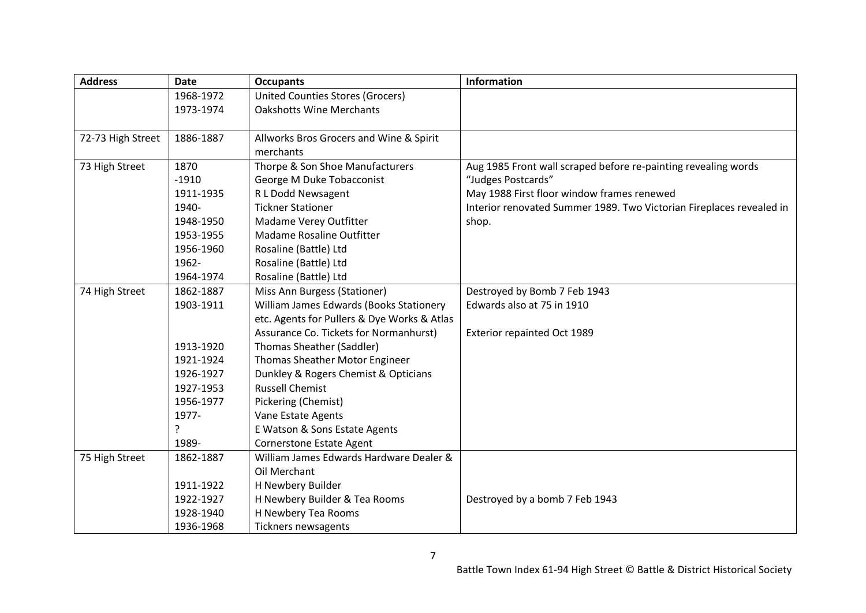| <b>Address</b>    | <b>Date</b> | <b>Occupants</b>                            | <b>Information</b>                                                   |
|-------------------|-------------|---------------------------------------------|----------------------------------------------------------------------|
|                   | 1968-1972   | <b>United Counties Stores (Grocers)</b>     |                                                                      |
|                   | 1973-1974   | <b>Oakshotts Wine Merchants</b>             |                                                                      |
|                   |             |                                             |                                                                      |
| 72-73 High Street | 1886-1887   | Allworks Bros Grocers and Wine & Spirit     |                                                                      |
|                   |             | merchants                                   |                                                                      |
| 73 High Street    | 1870        | Thorpe & Son Shoe Manufacturers             | Aug 1985 Front wall scraped before re-painting revealing words       |
|                   | $-1910$     | George M Duke Tobacconist                   | "Judges Postcards"                                                   |
|                   | 1911-1935   | R L Dodd Newsagent                          | May 1988 First floor window frames renewed                           |
|                   | 1940-       | <b>Tickner Stationer</b>                    | Interior renovated Summer 1989. Two Victorian Fireplaces revealed in |
|                   | 1948-1950   | Madame Verey Outfitter                      | shop.                                                                |
|                   | 1953-1955   | Madame Rosaline Outfitter                   |                                                                      |
|                   | 1956-1960   | Rosaline (Battle) Ltd                       |                                                                      |
|                   | 1962-       | Rosaline (Battle) Ltd                       |                                                                      |
|                   | 1964-1974   | Rosaline (Battle) Ltd                       |                                                                      |
| 74 High Street    | 1862-1887   | Miss Ann Burgess (Stationer)                | Destroyed by Bomb 7 Feb 1943                                         |
|                   | 1903-1911   | William James Edwards (Books Stationery     | Edwards also at 75 in 1910                                           |
|                   |             | etc. Agents for Pullers & Dye Works & Atlas |                                                                      |
|                   |             | Assurance Co. Tickets for Normanhurst)      | Exterior repainted Oct 1989                                          |
|                   | 1913-1920   | Thomas Sheather (Saddler)                   |                                                                      |
|                   | 1921-1924   | Thomas Sheather Motor Engineer              |                                                                      |
|                   | 1926-1927   | Dunkley & Rogers Chemist & Opticians        |                                                                      |
|                   | 1927-1953   | <b>Russell Chemist</b>                      |                                                                      |
|                   | 1956-1977   | Pickering (Chemist)                         |                                                                      |
|                   | 1977-       | Vane Estate Agents                          |                                                                      |
|                   | 5.          | E Watson & Sons Estate Agents               |                                                                      |
|                   | 1989-       | Cornerstone Estate Agent                    |                                                                      |
| 75 High Street    | 1862-1887   | William James Edwards Hardware Dealer &     |                                                                      |
|                   |             | Oil Merchant                                |                                                                      |
|                   | 1911-1922   | H Newbery Builder                           |                                                                      |
|                   | 1922-1927   | H Newbery Builder & Tea Rooms               | Destroyed by a bomb 7 Feb 1943                                       |
|                   | 1928-1940   | H Newbery Tea Rooms                         |                                                                      |
|                   | 1936-1968   | Tickners newsagents                         |                                                                      |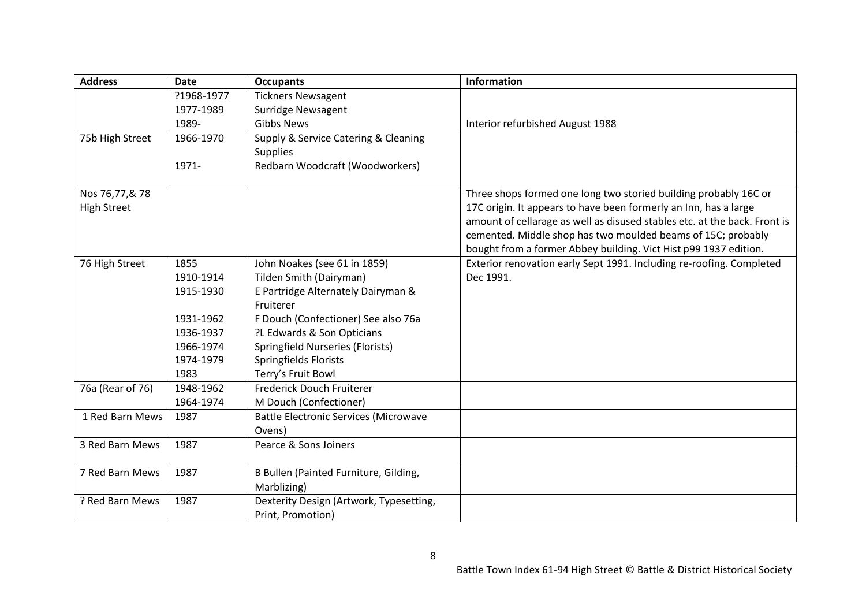| <b>Address</b>     | <b>Date</b> | <b>Occupants</b>                             | <b>Information</b>                                                        |
|--------------------|-------------|----------------------------------------------|---------------------------------------------------------------------------|
|                    | ?1968-1977  | <b>Tickners Newsagent</b>                    |                                                                           |
|                    | 1977-1989   | <b>Surridge Newsagent</b>                    |                                                                           |
|                    | 1989-       | <b>Gibbs News</b>                            | Interior refurbished August 1988                                          |
| 75b High Street    | 1966-1970   | Supply & Service Catering & Cleaning         |                                                                           |
|                    |             | <b>Supplies</b>                              |                                                                           |
|                    | 1971-       | Redbarn Woodcraft (Woodworkers)              |                                                                           |
| Nos 76,77,& 78     |             |                                              | Three shops formed one long two storied building probably 16C or          |
| <b>High Street</b> |             |                                              | 17C origin. It appears to have been formerly an Inn, has a large          |
|                    |             |                                              | amount of cellarage as well as disused stables etc. at the back. Front is |
|                    |             |                                              | cemented. Middle shop has two moulded beams of 15C; probably              |
|                    |             |                                              | bought from a former Abbey building. Vict Hist p99 1937 edition.          |
| 76 High Street     | 1855        | John Noakes (see 61 in 1859)                 | Exterior renovation early Sept 1991. Including re-roofing. Completed      |
|                    | 1910-1914   | Tilden Smith (Dairyman)                      | Dec 1991.                                                                 |
|                    | 1915-1930   | E Partridge Alternately Dairyman &           |                                                                           |
|                    |             | Fruiterer                                    |                                                                           |
|                    | 1931-1962   | F Douch (Confectioner) See also 76a          |                                                                           |
|                    | 1936-1937   | ?L Edwards & Son Opticians                   |                                                                           |
|                    | 1966-1974   | Springfield Nurseries (Florists)             |                                                                           |
|                    | 1974-1979   | Springfields Florists                        |                                                                           |
|                    | 1983        | Terry's Fruit Bowl                           |                                                                           |
| 76a (Rear of 76)   | 1948-1962   | Frederick Douch Fruiterer                    |                                                                           |
|                    | 1964-1974   | M Douch (Confectioner)                       |                                                                           |
| 1 Red Barn Mews    | 1987        | <b>Battle Electronic Services (Microwave</b> |                                                                           |
|                    |             | Ovens)                                       |                                                                           |
| 3 Red Barn Mews    | 1987        | Pearce & Sons Joiners                        |                                                                           |
| 7 Red Barn Mews    | 1987        | B Bullen (Painted Furniture, Gilding,        |                                                                           |
|                    |             | Marblizing)                                  |                                                                           |
| ? Red Barn Mews    | 1987        | Dexterity Design (Artwork, Typesetting,      |                                                                           |
|                    |             | Print, Promotion)                            |                                                                           |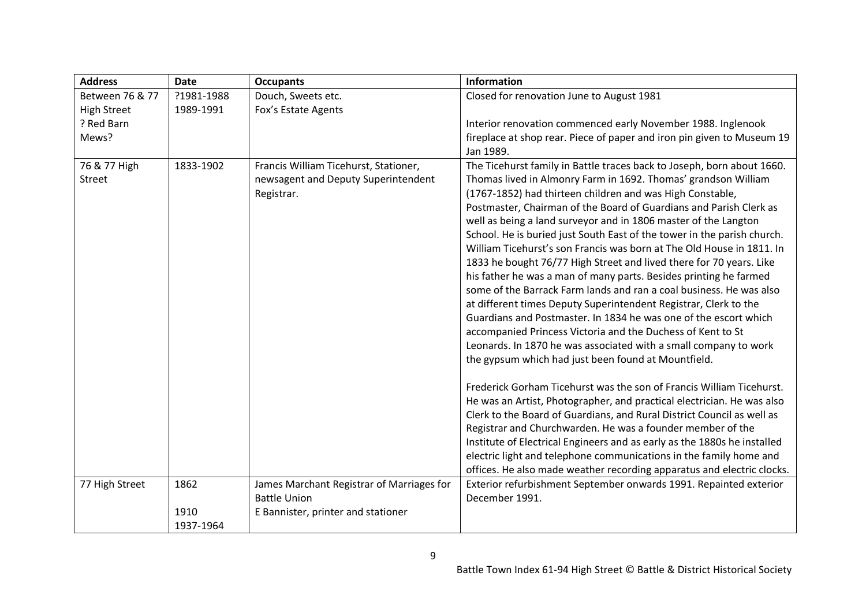| <b>Address</b>     | <b>Date</b>       | <b>Occupants</b>                                  | <b>Information</b>                                                                                                                                                                                                                                                                                                                                                                                                                                                                                                                                                                                                                                                                                              |
|--------------------|-------------------|---------------------------------------------------|-----------------------------------------------------------------------------------------------------------------------------------------------------------------------------------------------------------------------------------------------------------------------------------------------------------------------------------------------------------------------------------------------------------------------------------------------------------------------------------------------------------------------------------------------------------------------------------------------------------------------------------------------------------------------------------------------------------------|
| Between 76 & 77    | ?1981-1988        | Douch, Sweets etc.                                | Closed for renovation June to August 1981                                                                                                                                                                                                                                                                                                                                                                                                                                                                                                                                                                                                                                                                       |
| <b>High Street</b> | 1989-1991         | Fox's Estate Agents                               |                                                                                                                                                                                                                                                                                                                                                                                                                                                                                                                                                                                                                                                                                                                 |
| ? Red Barn         |                   |                                                   | Interior renovation commenced early November 1988. Inglenook                                                                                                                                                                                                                                                                                                                                                                                                                                                                                                                                                                                                                                                    |
| Mews?              |                   |                                                   | fireplace at shop rear. Piece of paper and iron pin given to Museum 19                                                                                                                                                                                                                                                                                                                                                                                                                                                                                                                                                                                                                                          |
|                    |                   |                                                   | Jan 1989.                                                                                                                                                                                                                                                                                                                                                                                                                                                                                                                                                                                                                                                                                                       |
| Street             |                   | newsagent and Deputy Superintendent<br>Registrar. | Thomas lived in Almonry Farm in 1692. Thomas' grandson William<br>(1767-1852) had thirteen children and was High Constable,<br>Postmaster, Chairman of the Board of Guardians and Parish Clerk as<br>well as being a land surveyor and in 1806 master of the Langton<br>School. He is buried just South East of the tower in the parish church.<br>William Ticehurst's son Francis was born at The Old House in 1811. In<br>1833 he bought 76/77 High Street and lived there for 70 years. Like<br>his father he was a man of many parts. Besides printing he farmed<br>some of the Barrack Farm lands and ran a coal business. He was also<br>at different times Deputy Superintendent Registrar, Clerk to the |
|                    |                   |                                                   | Guardians and Postmaster. In 1834 he was one of the escort which<br>accompanied Princess Victoria and the Duchess of Kent to St<br>Leonards. In 1870 he was associated with a small company to work<br>the gypsum which had just been found at Mountfield.                                                                                                                                                                                                                                                                                                                                                                                                                                                      |
|                    |                   |                                                   | Frederick Gorham Ticehurst was the son of Francis William Ticehurst.<br>He was an Artist, Photographer, and practical electrician. He was also<br>Clerk to the Board of Guardians, and Rural District Council as well as<br>Registrar and Churchwarden. He was a founder member of the<br>Institute of Electrical Engineers and as early as the 1880s he installed<br>electric light and telephone communications in the family home and<br>offices. He also made weather recording apparatus and electric clocks.                                                                                                                                                                                              |
| 77 High Street     | 1862              | James Marchant Registrar of Marriages for         | Exterior refurbishment September onwards 1991. Repainted exterior                                                                                                                                                                                                                                                                                                                                                                                                                                                                                                                                                                                                                                               |
|                    |                   | <b>Battle Union</b>                               | December 1991.                                                                                                                                                                                                                                                                                                                                                                                                                                                                                                                                                                                                                                                                                                  |
|                    | 1910<br>1937-1964 | E Bannister, printer and stationer                |                                                                                                                                                                                                                                                                                                                                                                                                                                                                                                                                                                                                                                                                                                                 |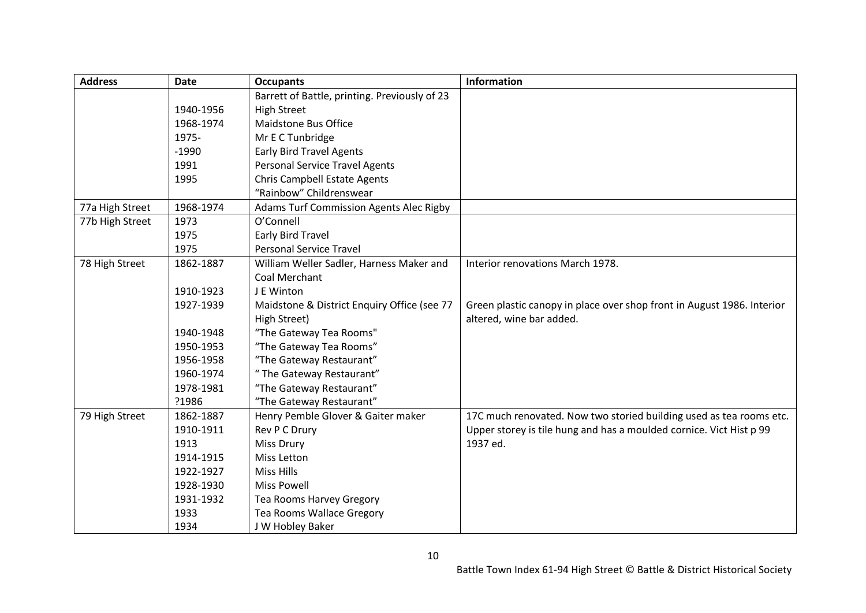| <b>Address</b>  | <b>Date</b> | <b>Occupants</b>                               | <b>Information</b>                                                     |
|-----------------|-------------|------------------------------------------------|------------------------------------------------------------------------|
|                 |             | Barrett of Battle, printing. Previously of 23  |                                                                        |
|                 | 1940-1956   | <b>High Street</b>                             |                                                                        |
|                 | 1968-1974   | Maidstone Bus Office                           |                                                                        |
|                 | 1975-       | Mr E C Tunbridge                               |                                                                        |
|                 | $-1990$     | <b>Early Bird Travel Agents</b>                |                                                                        |
|                 | 1991        | <b>Personal Service Travel Agents</b>          |                                                                        |
|                 | 1995        | <b>Chris Campbell Estate Agents</b>            |                                                                        |
|                 |             | "Rainbow" Childrenswear                        |                                                                        |
| 77a High Street | 1968-1974   | <b>Adams Turf Commission Agents Alec Rigby</b> |                                                                        |
| 77b High Street | 1973        | O'Connell                                      |                                                                        |
|                 | 1975        | Early Bird Travel                              |                                                                        |
|                 | 1975        | <b>Personal Service Travel</b>                 |                                                                        |
| 78 High Street  | 1862-1887   | William Weller Sadler, Harness Maker and       | Interior renovations March 1978.                                       |
|                 |             | Coal Merchant                                  |                                                                        |
|                 | 1910-1923   | J E Winton                                     |                                                                        |
|                 | 1927-1939   | Maidstone & District Enquiry Office (see 77    | Green plastic canopy in place over shop front in August 1986. Interior |
|                 |             | High Street)                                   | altered, wine bar added.                                               |
|                 | 1940-1948   | "The Gateway Tea Rooms"                        |                                                                        |
|                 | 1950-1953   | "The Gateway Tea Rooms"                        |                                                                        |
|                 | 1956-1958   | "The Gateway Restaurant"                       |                                                                        |
|                 | 1960-1974   | "The Gateway Restaurant"                       |                                                                        |
|                 | 1978-1981   | "The Gateway Restaurant"                       |                                                                        |
|                 | ?1986       | "The Gateway Restaurant"                       |                                                                        |
| 79 High Street  | 1862-1887   | Henry Pemble Glover & Gaiter maker             | 17C much renovated. Now two storied building used as tea rooms etc.    |
|                 | 1910-1911   | Rev P C Drury                                  | Upper storey is tile hung and has a moulded cornice. Vict Hist p 99    |
|                 | 1913        | <b>Miss Drury</b>                              | 1937 ed.                                                               |
|                 | 1914-1915   | <b>Miss Letton</b>                             |                                                                        |
|                 | 1922-1927   | Miss Hills                                     |                                                                        |
|                 | 1928-1930   | <b>Miss Powell</b>                             |                                                                        |
|                 | 1931-1932   | Tea Rooms Harvey Gregory                       |                                                                        |
|                 | 1933        | Tea Rooms Wallace Gregory                      |                                                                        |
|                 | 1934        | J W Hobley Baker                               |                                                                        |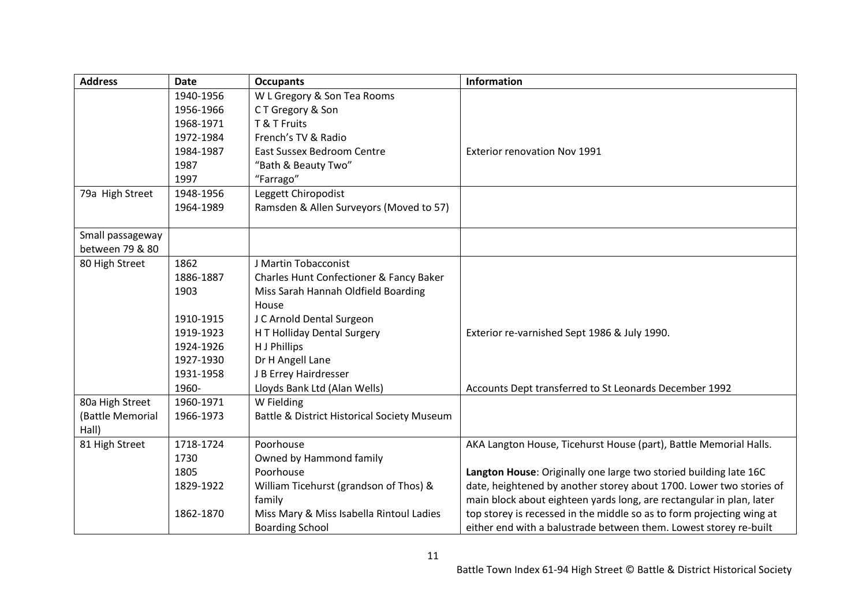| <b>Date</b> | <b>Occupants</b>                                                                                                                                                                     | <b>Information</b>                                                                                                                                                                                                                                                                                                                                                                                                                                                                                                                                                                                             |
|-------------|--------------------------------------------------------------------------------------------------------------------------------------------------------------------------------------|----------------------------------------------------------------------------------------------------------------------------------------------------------------------------------------------------------------------------------------------------------------------------------------------------------------------------------------------------------------------------------------------------------------------------------------------------------------------------------------------------------------------------------------------------------------------------------------------------------------|
| 1940-1956   | W L Gregory & Son Tea Rooms                                                                                                                                                          |                                                                                                                                                                                                                                                                                                                                                                                                                                                                                                                                                                                                                |
| 1956-1966   | CT Gregory & Son                                                                                                                                                                     |                                                                                                                                                                                                                                                                                                                                                                                                                                                                                                                                                                                                                |
| 1968-1971   | T & T Fruits                                                                                                                                                                         |                                                                                                                                                                                                                                                                                                                                                                                                                                                                                                                                                                                                                |
| 1972-1984   | French's TV & Radio                                                                                                                                                                  |                                                                                                                                                                                                                                                                                                                                                                                                                                                                                                                                                                                                                |
| 1984-1987   | <b>East Sussex Bedroom Centre</b>                                                                                                                                                    | <b>Exterior renovation Nov 1991</b>                                                                                                                                                                                                                                                                                                                                                                                                                                                                                                                                                                            |
| 1987        | "Bath & Beauty Two"                                                                                                                                                                  |                                                                                                                                                                                                                                                                                                                                                                                                                                                                                                                                                                                                                |
| 1997        |                                                                                                                                                                                      |                                                                                                                                                                                                                                                                                                                                                                                                                                                                                                                                                                                                                |
| 1948-1956   |                                                                                                                                                                                      |                                                                                                                                                                                                                                                                                                                                                                                                                                                                                                                                                                                                                |
| 1964-1989   |                                                                                                                                                                                      |                                                                                                                                                                                                                                                                                                                                                                                                                                                                                                                                                                                                                |
|             |                                                                                                                                                                                      |                                                                                                                                                                                                                                                                                                                                                                                                                                                                                                                                                                                                                |
|             |                                                                                                                                                                                      |                                                                                                                                                                                                                                                                                                                                                                                                                                                                                                                                                                                                                |
|             |                                                                                                                                                                                      |                                                                                                                                                                                                                                                                                                                                                                                                                                                                                                                                                                                                                |
|             |                                                                                                                                                                                      |                                                                                                                                                                                                                                                                                                                                                                                                                                                                                                                                                                                                                |
|             |                                                                                                                                                                                      |                                                                                                                                                                                                                                                                                                                                                                                                                                                                                                                                                                                                                |
|             |                                                                                                                                                                                      |                                                                                                                                                                                                                                                                                                                                                                                                                                                                                                                                                                                                                |
|             |                                                                                                                                                                                      |                                                                                                                                                                                                                                                                                                                                                                                                                                                                                                                                                                                                                |
|             |                                                                                                                                                                                      |                                                                                                                                                                                                                                                                                                                                                                                                                                                                                                                                                                                                                |
|             |                                                                                                                                                                                      | Exterior re-varnished Sept 1986 & July 1990.                                                                                                                                                                                                                                                                                                                                                                                                                                                                                                                                                                   |
|             |                                                                                                                                                                                      |                                                                                                                                                                                                                                                                                                                                                                                                                                                                                                                                                                                                                |
|             |                                                                                                                                                                                      |                                                                                                                                                                                                                                                                                                                                                                                                                                                                                                                                                                                                                |
|             |                                                                                                                                                                                      |                                                                                                                                                                                                                                                                                                                                                                                                                                                                                                                                                                                                                |
|             |                                                                                                                                                                                      | Accounts Dept transferred to St Leonards December 1992                                                                                                                                                                                                                                                                                                                                                                                                                                                                                                                                                         |
|             |                                                                                                                                                                                      |                                                                                                                                                                                                                                                                                                                                                                                                                                                                                                                                                                                                                |
|             |                                                                                                                                                                                      |                                                                                                                                                                                                                                                                                                                                                                                                                                                                                                                                                                                                                |
|             |                                                                                                                                                                                      | AKA Langton House, Ticehurst House (part), Battle Memorial Halls.                                                                                                                                                                                                                                                                                                                                                                                                                                                                                                                                              |
|             |                                                                                                                                                                                      |                                                                                                                                                                                                                                                                                                                                                                                                                                                                                                                                                                                                                |
|             |                                                                                                                                                                                      | Langton House: Originally one large two storied building late 16C                                                                                                                                                                                                                                                                                                                                                                                                                                                                                                                                              |
|             |                                                                                                                                                                                      | date, heightened by another storey about 1700. Lower two stories of                                                                                                                                                                                                                                                                                                                                                                                                                                                                                                                                            |
|             |                                                                                                                                                                                      | main block about eighteen yards long, are rectangular in plan, later                                                                                                                                                                                                                                                                                                                                                                                                                                                                                                                                           |
|             |                                                                                                                                                                                      | top storey is recessed in the middle so as to form projecting wing at                                                                                                                                                                                                                                                                                                                                                                                                                                                                                                                                          |
|             |                                                                                                                                                                                      | either end with a balustrade between them. Lowest storey re-built                                                                                                                                                                                                                                                                                                                                                                                                                                                                                                                                              |
|             | 1862<br>1886-1887<br>1903<br>1910-1915<br>1919-1923<br>1924-1926<br>1927-1930<br>1931-1958<br>1960-<br>1960-1971<br>1966-1973<br>1718-1724<br>1730<br>1805<br>1829-1922<br>1862-1870 | "Farrago"<br>Leggett Chiropodist<br>Ramsden & Allen Surveyors (Moved to 57)<br>J Martin Tobacconist<br>Charles Hunt Confectioner & Fancy Baker<br>Miss Sarah Hannah Oldfield Boarding<br>House<br>J C Arnold Dental Surgeon<br>H T Holliday Dental Surgery<br>H J Phillips<br>Dr H Angell Lane<br>J B Errey Hairdresser<br>Lloyds Bank Ltd (Alan Wells)<br>W Fielding<br><b>Battle &amp; District Historical Society Museum</b><br>Poorhouse<br>Owned by Hammond family<br>Poorhouse<br>William Ticehurst (grandson of Thos) &<br>family<br>Miss Mary & Miss Isabella Rintoul Ladies<br><b>Boarding School</b> |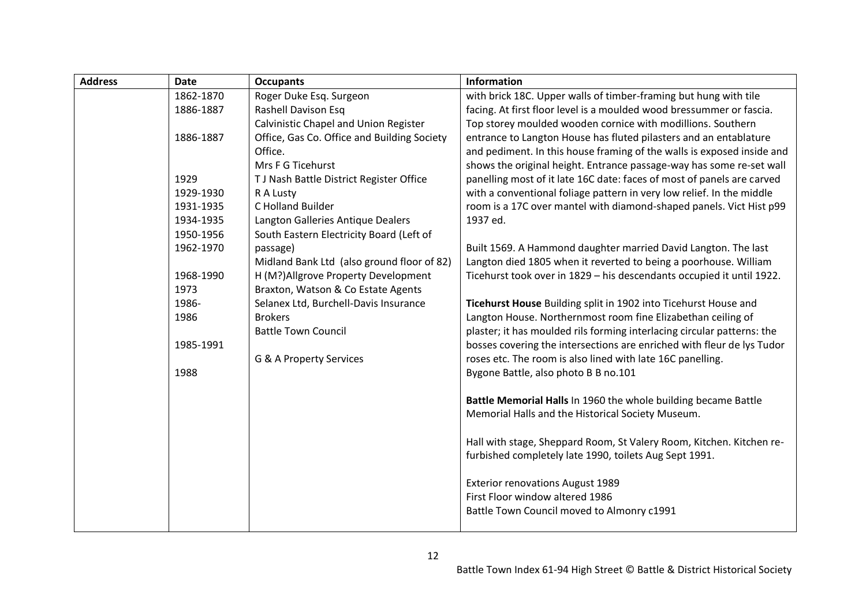| <b>Address</b> | <b>Date</b> | <b>Occupants</b>                            | <b>Information</b>                                                      |
|----------------|-------------|---------------------------------------------|-------------------------------------------------------------------------|
|                | 1862-1870   | Roger Duke Esq. Surgeon                     | with brick 18C. Upper walls of timber-framing but hung with tile        |
|                | 1886-1887   | Rashell Davison Esq                         | facing. At first floor level is a moulded wood bressummer or fascia.    |
|                |             | Calvinistic Chapel and Union Register       | Top storey moulded wooden cornice with modillions. Southern             |
|                | 1886-1887   | Office, Gas Co. Office and Building Society | entrance to Langton House has fluted pilasters and an entablature       |
|                |             | Office.                                     | and pediment. In this house framing of the walls is exposed inside and  |
|                |             | Mrs F G Ticehurst                           | shows the original height. Entrance passage-way has some re-set wall    |
|                | 1929        | T J Nash Battle District Register Office    | panelling most of it late 16C date: faces of most of panels are carved  |
|                | 1929-1930   | R A Lusty                                   | with a conventional foliage pattern in very low relief. In the middle   |
|                | 1931-1935   | C Holland Builder                           | room is a 17C over mantel with diamond-shaped panels. Vict Hist p99     |
|                | 1934-1935   | Langton Galleries Antique Dealers           | 1937 ed.                                                                |
|                | 1950-1956   | South Eastern Electricity Board (Left of    |                                                                         |
|                | 1962-1970   | passage)                                    | Built 1569. A Hammond daughter married David Langton. The last          |
|                |             | Midland Bank Ltd (also ground floor of 82)  | Langton died 1805 when it reverted to being a poorhouse. William        |
|                | 1968-1990   | H (M?) Allgrove Property Development        | Ticehurst took over in 1829 - his descendants occupied it until 1922.   |
|                | 1973        | Braxton, Watson & Co Estate Agents          |                                                                         |
|                | 1986-       | Selanex Ltd, Burchell-Davis Insurance       | Ticehurst House Building split in 1902 into Ticehurst House and         |
|                | 1986        | <b>Brokers</b>                              | Langton House. Northernmost room fine Elizabethan ceiling of            |
|                |             | <b>Battle Town Council</b>                  | plaster; it has moulded rils forming interlacing circular patterns: the |
|                | 1985-1991   |                                             | bosses covering the intersections are enriched with fleur de lys Tudor  |
|                |             | G & A Property Services                     | roses etc. The room is also lined with late 16C panelling.              |
|                | 1988        |                                             | Bygone Battle, also photo B B no.101                                    |
|                |             |                                             | Battle Memorial Halls In 1960 the whole building became Battle          |
|                |             |                                             | Memorial Halls and the Historical Society Museum.                       |
|                |             |                                             | Hall with stage, Sheppard Room, St Valery Room, Kitchen. Kitchen re-    |
|                |             |                                             | furbished completely late 1990, toilets Aug Sept 1991.                  |
|                |             |                                             | <b>Exterior renovations August 1989</b>                                 |
|                |             |                                             | First Floor window altered 1986                                         |
|                |             |                                             | Battle Town Council moved to Almonry c1991                              |
|                |             |                                             |                                                                         |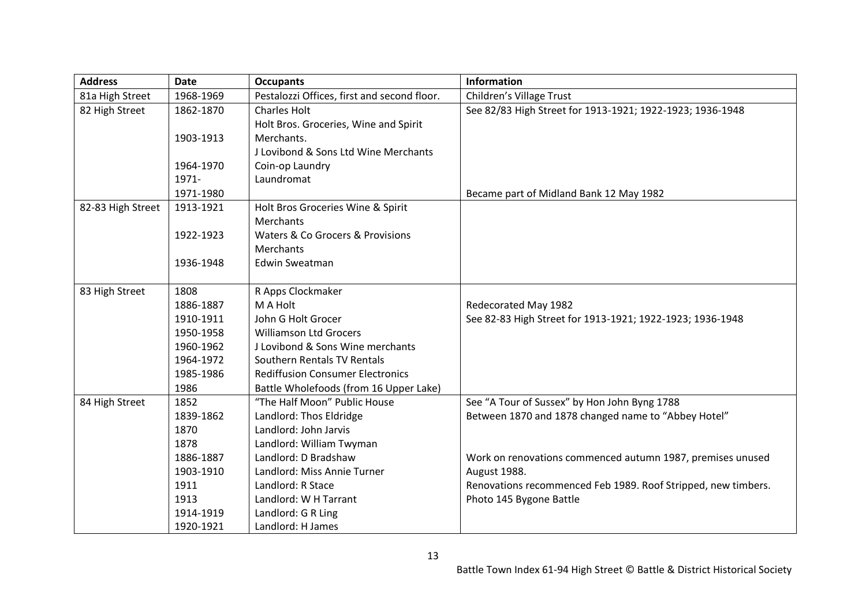| <b>Address</b>    | <b>Date</b> | <b>Occupants</b>                            | <b>Information</b>                                            |
|-------------------|-------------|---------------------------------------------|---------------------------------------------------------------|
| 81a High Street   | 1968-1969   | Pestalozzi Offices, first and second floor. | Children's Village Trust                                      |
| 82 High Street    | 1862-1870   | <b>Charles Holt</b>                         | See 82/83 High Street for 1913-1921; 1922-1923; 1936-1948     |
|                   |             | Holt Bros. Groceries, Wine and Spirit       |                                                               |
|                   | 1903-1913   | Merchants.                                  |                                                               |
|                   |             | J Lovibond & Sons Ltd Wine Merchants        |                                                               |
|                   | 1964-1970   | Coin-op Laundry                             |                                                               |
|                   | 1971-       | Laundromat                                  |                                                               |
|                   | 1971-1980   |                                             | Became part of Midland Bank 12 May 1982                       |
| 82-83 High Street | 1913-1921   | Holt Bros Groceries Wine & Spirit           |                                                               |
|                   |             | Merchants                                   |                                                               |
|                   | 1922-1923   | Waters & Co Grocers & Provisions            |                                                               |
|                   |             | <b>Merchants</b>                            |                                                               |
|                   | 1936-1948   | Edwin Sweatman                              |                                                               |
|                   |             |                                             |                                                               |
| 83 High Street    | 1808        | R Apps Clockmaker                           |                                                               |
|                   | 1886-1887   | M A Holt                                    | Redecorated May 1982                                          |
|                   | 1910-1911   | John G Holt Grocer                          | See 82-83 High Street for 1913-1921; 1922-1923; 1936-1948     |
|                   | 1950-1958   | <b>Williamson Ltd Grocers</b>               |                                                               |
|                   | 1960-1962   | J Lovibond & Sons Wine merchants            |                                                               |
|                   | 1964-1972   | Southern Rentals TV Rentals                 |                                                               |
|                   | 1985-1986   | <b>Rediffusion Consumer Electronics</b>     |                                                               |
|                   | 1986        | Battle Wholefoods (from 16 Upper Lake)      |                                                               |
| 84 High Street    | 1852        | "The Half Moon" Public House                | See "A Tour of Sussex" by Hon John Byng 1788                  |
|                   | 1839-1862   | Landlord: Thos Eldridge                     | Between 1870 and 1878 changed name to "Abbey Hotel"           |
|                   | 1870        | Landlord: John Jarvis                       |                                                               |
|                   | 1878        | Landlord: William Twyman                    |                                                               |
|                   | 1886-1887   | Landlord: D Bradshaw                        | Work on renovations commenced autumn 1987, premises unused    |
|                   | 1903-1910   | Landlord: Miss Annie Turner                 | August 1988.                                                  |
|                   | 1911        | Landlord: R Stace                           | Renovations recommenced Feb 1989. Roof Stripped, new timbers. |
|                   | 1913        | Landlord: W H Tarrant                       | Photo 145 Bygone Battle                                       |
|                   | 1914-1919   | Landlord: G R Ling                          |                                                               |
|                   | 1920-1921   | Landlord: H James                           |                                                               |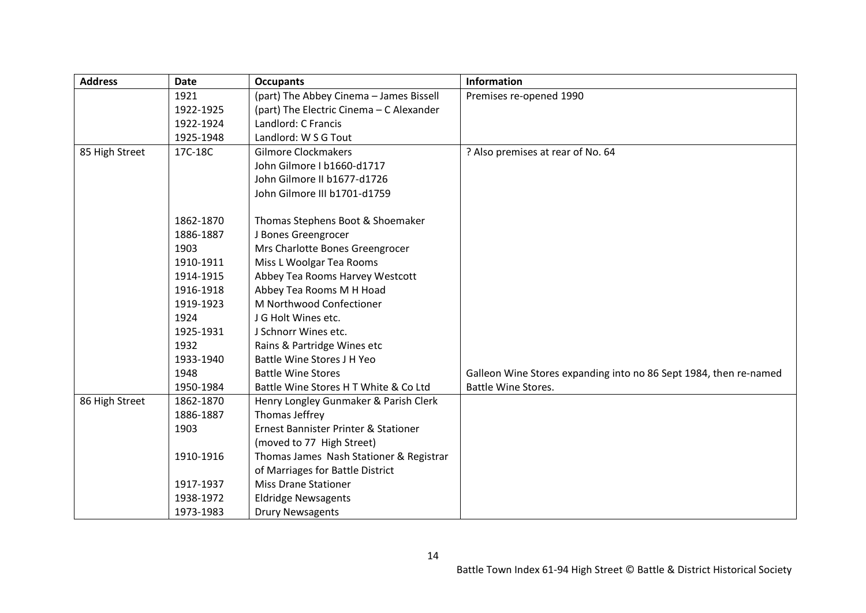| <b>Address</b> | <b>Date</b> | <b>Occupants</b>                         | <b>Information</b>                                                |
|----------------|-------------|------------------------------------------|-------------------------------------------------------------------|
|                | 1921        | (part) The Abbey Cinema - James Bissell  | Premises re-opened 1990                                           |
|                | 1922-1925   | (part) The Electric Cinema - C Alexander |                                                                   |
|                | 1922-1924   | Landlord: C Francis                      |                                                                   |
|                | 1925-1948   | Landlord: W S G Tout                     |                                                                   |
| 85 High Street | 17C-18C     | <b>Gilmore Clockmakers</b>               | ? Also premises at rear of No. 64                                 |
|                |             | John Gilmore I b1660-d1717               |                                                                   |
|                |             | John Gilmore II b1677-d1726              |                                                                   |
|                |             | John Gilmore III b1701-d1759             |                                                                   |
|                | 1862-1870   | Thomas Stephens Boot & Shoemaker         |                                                                   |
|                | 1886-1887   | J Bones Greengrocer                      |                                                                   |
|                | 1903        | Mrs Charlotte Bones Greengrocer          |                                                                   |
|                | 1910-1911   | Miss L Woolgar Tea Rooms                 |                                                                   |
|                | 1914-1915   | Abbey Tea Rooms Harvey Westcott          |                                                                   |
|                | 1916-1918   | Abbey Tea Rooms M H Hoad                 |                                                                   |
|                | 1919-1923   | M Northwood Confectioner                 |                                                                   |
|                | 1924        | J G Holt Wines etc.                      |                                                                   |
|                | 1925-1931   | J Schnorr Wines etc.                     |                                                                   |
|                | 1932        | Rains & Partridge Wines etc              |                                                                   |
|                | 1933-1940   | <b>Battle Wine Stores J H Yeo</b>        |                                                                   |
|                | 1948        | <b>Battle Wine Stores</b>                | Galleon Wine Stores expanding into no 86 Sept 1984, then re-named |
|                | 1950-1984   | Battle Wine Stores H T White & Co Ltd    | <b>Battle Wine Stores.</b>                                        |
| 86 High Street | 1862-1870   | Henry Longley Gunmaker & Parish Clerk    |                                                                   |
|                | 1886-1887   | Thomas Jeffrey                           |                                                                   |
|                | 1903        | Ernest Bannister Printer & Stationer     |                                                                   |
|                |             | (moved to 77 High Street)                |                                                                   |
|                | 1910-1916   | Thomas James Nash Stationer & Registrar  |                                                                   |
|                |             | of Marriages for Battle District         |                                                                   |
|                | 1917-1937   | <b>Miss Drane Stationer</b>              |                                                                   |
|                | 1938-1972   | <b>Eldridge Newsagents</b>               |                                                                   |
|                | 1973-1983   | <b>Drury Newsagents</b>                  |                                                                   |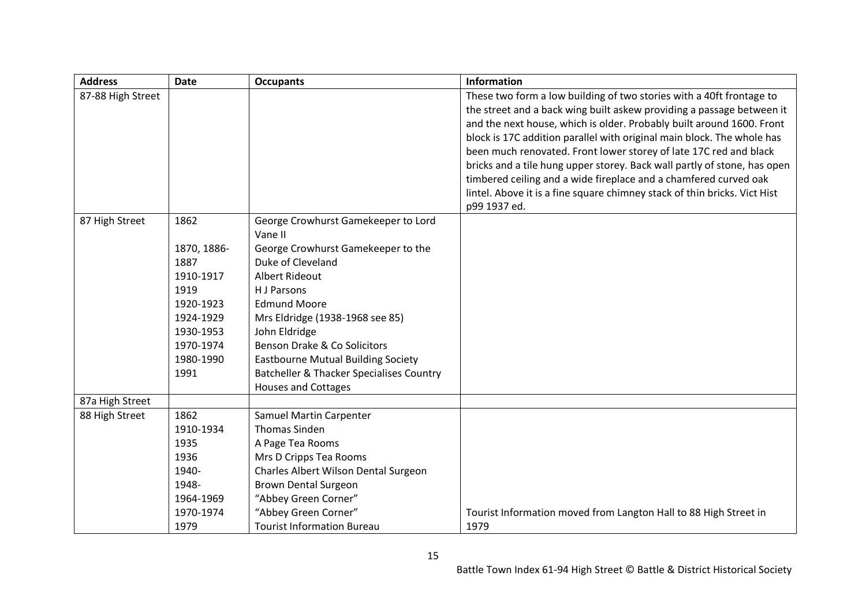| <b>Address</b>    | <b>Date</b> | <b>Occupants</b>                                    | <b>Information</b>                                                        |
|-------------------|-------------|-----------------------------------------------------|---------------------------------------------------------------------------|
| 87-88 High Street |             |                                                     | These two form a low building of two stories with a 40ft frontage to      |
|                   |             |                                                     | the street and a back wing built askew providing a passage between it     |
|                   |             |                                                     | and the next house, which is older. Probably built around 1600. Front     |
|                   |             |                                                     | block is 17C addition parallel with original main block. The whole has    |
|                   |             |                                                     | been much renovated. Front lower storey of late 17C red and black         |
|                   |             |                                                     | bricks and a tile hung upper storey. Back wall partly of stone, has open  |
|                   |             |                                                     | timbered ceiling and a wide fireplace and a chamfered curved oak          |
|                   |             |                                                     | lintel. Above it is a fine square chimney stack of thin bricks. Vict Hist |
|                   |             |                                                     | p99 1937 ed.                                                              |
| 87 High Street    | 1862        | George Crowhurst Gamekeeper to Lord<br>Vane II      |                                                                           |
|                   | 1870, 1886- | George Crowhurst Gamekeeper to the                  |                                                                           |
|                   | 1887        | Duke of Cleveland                                   |                                                                           |
|                   | 1910-1917   | <b>Albert Rideout</b>                               |                                                                           |
|                   | 1919        | H J Parsons                                         |                                                                           |
|                   | 1920-1923   | <b>Edmund Moore</b>                                 |                                                                           |
|                   | 1924-1929   | Mrs Eldridge (1938-1968 see 85)                     |                                                                           |
|                   | 1930-1953   | John Eldridge                                       |                                                                           |
|                   | 1970-1974   | Benson Drake & Co Solicitors                        |                                                                           |
|                   | 1980-1990   | <b>Eastbourne Mutual Building Society</b>           |                                                                           |
|                   | 1991        | <b>Batcheller &amp; Thacker Specialises Country</b> |                                                                           |
|                   |             | <b>Houses and Cottages</b>                          |                                                                           |
| 87a High Street   |             |                                                     |                                                                           |
| 88 High Street    | 1862        | Samuel Martin Carpenter                             |                                                                           |
|                   | 1910-1934   | <b>Thomas Sinden</b>                                |                                                                           |
|                   | 1935        | A Page Tea Rooms                                    |                                                                           |
|                   | 1936        | Mrs D Cripps Tea Rooms                              |                                                                           |
|                   | 1940-       | Charles Albert Wilson Dental Surgeon                |                                                                           |
|                   | 1948-       | <b>Brown Dental Surgeon</b>                         |                                                                           |
|                   | 1964-1969   | "Abbey Green Corner"                                |                                                                           |
|                   | 1970-1974   | "Abbey Green Corner"                                | Tourist Information moved from Langton Hall to 88 High Street in          |
|                   | 1979        | <b>Tourist Information Bureau</b>                   | 1979                                                                      |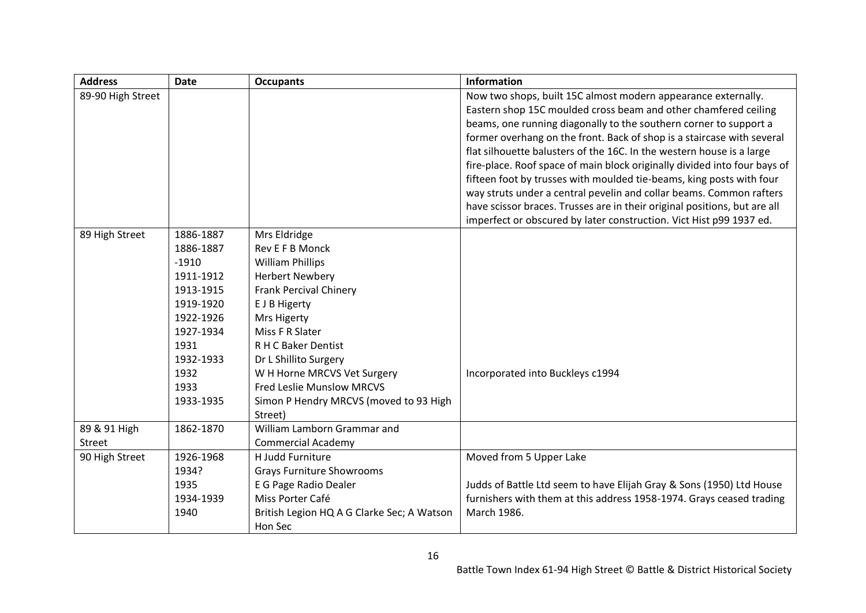| <b>Address</b>    | <b>Date</b> | <b>Occupants</b>                           | <b>Information</b>                                                        |
|-------------------|-------------|--------------------------------------------|---------------------------------------------------------------------------|
| 89-90 High Street |             |                                            | Now two shops, built 15C almost modern appearance externally.             |
|                   |             |                                            | Eastern shop 15C moulded cross beam and other chamfered ceiling           |
|                   |             |                                            | beams, one running diagonally to the southern corner to support a         |
|                   |             |                                            | former overhang on the front. Back of shop is a staircase with several    |
|                   |             |                                            | flat silhouette balusters of the 16C. In the western house is a large     |
|                   |             |                                            | fire-place. Roof space of main block originally divided into four bays of |
|                   |             |                                            | fifteen foot by trusses with moulded tie-beams, king posts with four      |
|                   |             |                                            | way struts under a central pevelin and collar beams. Common rafters       |
|                   |             |                                            | have scissor braces. Trusses are in their original positions, but are all |
|                   |             |                                            | imperfect or obscured by later construction. Vict Hist p99 1937 ed.       |
| 89 High Street    | 1886-1887   | Mrs Eldridge                               |                                                                           |
|                   | 1886-1887   | Rev E F B Monck                            |                                                                           |
|                   | $-1910$     | <b>William Phillips</b>                    |                                                                           |
|                   | 1911-1912   | <b>Herbert Newbery</b>                     |                                                                           |
|                   | 1913-1915   | <b>Frank Percival Chinery</b>              |                                                                           |
|                   | 1919-1920   | E J B Higerty                              |                                                                           |
|                   | 1922-1926   | <b>Mrs Higerty</b>                         |                                                                           |
|                   | 1927-1934   | Miss F R Slater                            |                                                                           |
|                   | 1931        | R H C Baker Dentist                        |                                                                           |
|                   | 1932-1933   | Dr L Shillito Surgery                      |                                                                           |
|                   | 1932        | W H Horne MRCVS Vet Surgery                | Incorporated into Buckleys c1994                                          |
|                   | 1933        | <b>Fred Leslie Munslow MRCVS</b>           |                                                                           |
|                   | 1933-1935   | Simon P Hendry MRCVS (moved to 93 High     |                                                                           |
|                   |             | Street)                                    |                                                                           |
| 89 & 91 High      | 1862-1870   | William Lamborn Grammar and                |                                                                           |
| Street            |             | <b>Commercial Academy</b>                  |                                                                           |
| 90 High Street    | 1926-1968   | H Judd Furniture                           | Moved from 5 Upper Lake                                                   |
|                   | 1934?       | <b>Grays Furniture Showrooms</b>           |                                                                           |
|                   | 1935        | E G Page Radio Dealer                      | Judds of Battle Ltd seem to have Elijah Gray & Sons (1950) Ltd House      |
|                   | 1934-1939   | Miss Porter Café                           | furnishers with them at this address 1958-1974. Grays ceased trading      |
|                   | 1940        | British Legion HQ A G Clarke Sec; A Watson | March 1986.                                                               |
|                   |             | Hon Sec                                    |                                                                           |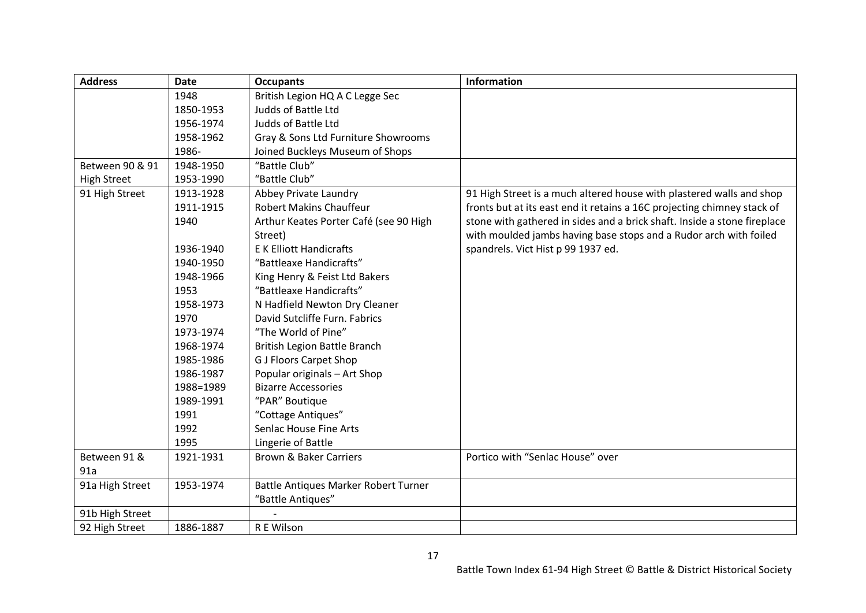| <b>Address</b>     | <b>Date</b> | <b>Occupants</b>                       | <b>Information</b>                                                       |
|--------------------|-------------|----------------------------------------|--------------------------------------------------------------------------|
|                    | 1948        | British Legion HQ A C Legge Sec        |                                                                          |
|                    | 1850-1953   | Judds of Battle Ltd                    |                                                                          |
|                    | 1956-1974   | Judds of Battle Ltd                    |                                                                          |
|                    | 1958-1962   | Gray & Sons Ltd Furniture Showrooms    |                                                                          |
|                    | 1986-       | Joined Buckleys Museum of Shops        |                                                                          |
| Between 90 & 91    | 1948-1950   | "Battle Club"                          |                                                                          |
| <b>High Street</b> | 1953-1990   | "Battle Club"                          |                                                                          |
| 91 High Street     | 1913-1928   | Abbey Private Laundry                  | 91 High Street is a much altered house with plastered walls and shop     |
|                    | 1911-1915   | <b>Robert Makins Chauffeur</b>         | fronts but at its east end it retains a 16C projecting chimney stack of  |
|                    | 1940        | Arthur Keates Porter Café (see 90 High | stone with gathered in sides and a brick shaft. Inside a stone fireplace |
|                    |             | Street)                                | with moulded jambs having base stops and a Rudor arch with foiled        |
|                    | 1936-1940   | <b>EK Elliott Handicrafts</b>          | spandrels. Vict Hist p 99 1937 ed.                                       |
|                    | 1940-1950   | "Battleaxe Handicrafts"                |                                                                          |
|                    | 1948-1966   | King Henry & Feist Ltd Bakers          |                                                                          |
|                    | 1953        | "Battleaxe Handicrafts"                |                                                                          |
|                    | 1958-1973   | N Hadfield Newton Dry Cleaner          |                                                                          |
|                    | 1970        | David Sutcliffe Furn. Fabrics          |                                                                          |
|                    | 1973-1974   | "The World of Pine"                    |                                                                          |
|                    | 1968-1974   | <b>British Legion Battle Branch</b>    |                                                                          |
|                    | 1985-1986   | <b>G J Floors Carpet Shop</b>          |                                                                          |
|                    | 1986-1987   | Popular originals - Art Shop           |                                                                          |
|                    | 1988=1989   | <b>Bizarre Accessories</b>             |                                                                          |
|                    | 1989-1991   | "PAR" Boutique                         |                                                                          |
|                    | 1991        | "Cottage Antiques"                     |                                                                          |
|                    | 1992        | Senlac House Fine Arts                 |                                                                          |
|                    | 1995        | Lingerie of Battle                     |                                                                          |
| Between 91 &       | 1921-1931   | <b>Brown &amp; Baker Carriers</b>      | Portico with "Senlac House" over                                         |
| 91a                |             |                                        |                                                                          |
| 91a High Street    | 1953-1974   | Battle Antiques Marker Robert Turner   |                                                                          |
|                    |             | "Battle Antiques"                      |                                                                          |
| 91b High Street    |             |                                        |                                                                          |
| 92 High Street     | 1886-1887   | R E Wilson                             |                                                                          |